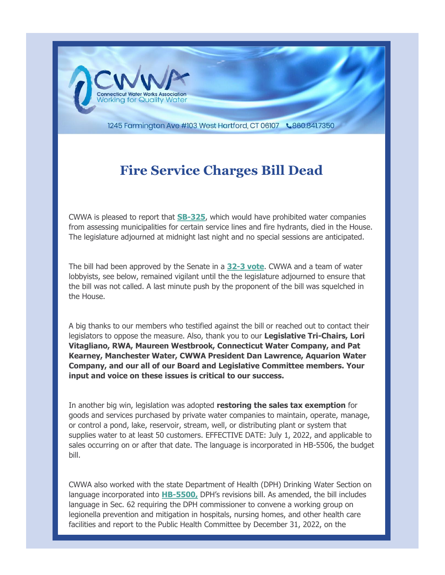

1245 Farmington Ave #103 West Hartford, CT 06107 \860.841.7350

## **Fire Service Charges Bill Dead**

CWWA is pleased to report that **[SB-325](https://r20.rs6.net/tn.jsp?f=001qikO5vwKydZ5Lw0BbmLdE6LeZq-3d7uQU8YUg8UNQwG4-t-eYON-kC6mtEezwX7oG9zezVyWU2Fz8tSs95bfigoD16z-VAWxTNt14E91YFj-plPoPjt2tnxKiBGNhN2Hqa9RApCrCGf7r-erLdiQ74nDys4u4N1eGqXqci9HYp881s1bHlC135Tb7uLNhycWhu_V46mK8GVUeXuLV3EqR8RynXdtlPMbMP0pyZdtERgj7gVxsnrSQp3ZK4xFaJ0_JO_P7eJvdPPoJP6aeZ7a0Q==&c=UO9iVAamJbiQNS2_ttiN-ewerl7_1E9toeJ3ajzy74GhS3K_t5ofTQ==&ch=1XPTmRBOp0lir-Xpn3hfkR8q-jcK3KCP7MQkAv6i4J_Cq1szk2gCow==)**, which would have prohibited water companies from assessing municipalities for certain service lines and fire hydrants, died in the House. The legislature adjourned at midnight last night and no special sessions are anticipated.

The bill had been approved by the Senate in a **[32-3 vote](https://r20.rs6.net/tn.jsp?f=001qikO5vwKydZ5Lw0BbmLdE6LeZq-3d7uQU8YUg8UNQwG4-t-eYON-kGc_Dopvol4cUJ1H3oVJlceVm8M_jqSvBuPOvJT-Fp7s403Nt82qXjNznRiptn85pJdB3FUOddL77YyW22p-GruslUgkJNoHUS2NUIGa70pc9idO-_dUB7VFMzsItbRRe8zK3-8ZleaNYijqjy03qOOAFyG02BRKiA==&c=UO9iVAamJbiQNS2_ttiN-ewerl7_1E9toeJ3ajzy74GhS3K_t5ofTQ==&ch=1XPTmRBOp0lir-Xpn3hfkR8q-jcK3KCP7MQkAv6i4J_Cq1szk2gCow==)**. CWWA and a team of water lobbyists, see below, remained vigilant until the the legislature adjourned to ensure that the bill was not called. A last minute push by the proponent of the bill was squelched in the House.

A big thanks to our members who testified against the bill or reached out to contact their legislators to oppose the measure. Also, thank you to our **Legislative Tri-Chairs, Lori Vitagliano, RWA, Maureen Westbrook, Connecticut Water Company, and Pat Kearney, Manchester Water, CWWA President Dan Lawrence, Aquarion Water Company, and our all of our Board and Legislative Committee members. Your input and voice on these issues is critical to our success.**

In another big win, legislation was adopted **restoring the sales tax exemption** for goods and services purchased by private water companies to maintain, operate, manage, or control a pond, lake, reservoir, stream, well, or distributing plant or system that supplies water to at least 50 customers. EFFECTIVE DATE: July 1, 2022, and applicable to sales occurring on or after that date. The language is incorporated in HB-5506, the budget bill.

CWWA also worked with the state Department of Health (DPH) Drinking Water Section on language incorporated into **[HB-5500,](https://r20.rs6.net/tn.jsp?f=001qikO5vwKydZ5Lw0BbmLdE6LeZq-3d7uQU8YUg8UNQwG4-t-eYON-kH9-2WfKgeNApBLZKw4eVqeYGL-7rQMThmll7pi9qjq4M53q1tEdWJe5k2C8RBCoKGraJ6bnDxHpyxoDTHRi-q8pSEFXeSXq49lqW4Jkgxp-f6chUr2ddoNECL1GOMlDrhDqsh-AtaNX4G--HbQgbmM=&c=UO9iVAamJbiQNS2_ttiN-ewerl7_1E9toeJ3ajzy74GhS3K_t5ofTQ==&ch=1XPTmRBOp0lir-Xpn3hfkR8q-jcK3KCP7MQkAv6i4J_Cq1szk2gCow==)** DPH's revisions bill. As amended, the bill includes language in Sec. 62 requiring the DPH commissioner to convene a working group on legionella prevention and mitigation in hospitals, nursing homes, and other health care facilities and report to the Public Health Committee by December 31, 2022, on the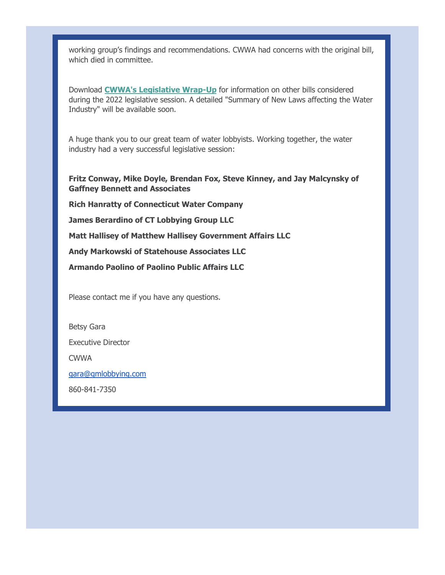working group's findings and recommendations. CWWA had concerns with the original bill, which died in committee.

Download **[CWWA's Legislative Wrap-Up](https://r20.rs6.net/tn.jsp?f=001qikO5vwKydZ5Lw0BbmLdE6LeZq-3d7uQU8YUg8UNQwG4-t-eYON-kGc_Dopvol4cW--pmTspBfWDlAziGlh_XXnT6gZTpYyuZVXfd066D95RS0P_9itFhGeBSdruI7XUpQY3GVGyQuavCB_sk-fILp_ENkZzzbTLKtXlF2Mrr8I4OyLQyUe8Zem_bX1l53O1HDG_fntp6fRXzaat3QAef8SRQL9erPkTAMEeKNWsWLkVf9FXUrNcKg==&c=UO9iVAamJbiQNS2_ttiN-ewerl7_1E9toeJ3ajzy74GhS3K_t5ofTQ==&ch=1XPTmRBOp0lir-Xpn3hfkR8q-jcK3KCP7MQkAv6i4J_Cq1szk2gCow==)** for information on other bills considered during the 2022 legislative session. A detailed "Summary of New Laws affecting the Water Industry" will be available soon.

A huge thank you to our great team of water lobbyists. Working together, the water industry had a very successful legislative session:

**Fritz Conway, Mike Doyle, Brendan Fox, Steve Kinney, and Jay Malcynsky of Gaffney Bennett and Associates**

**Rich Hanratty of Connecticut Water Company**

**James Berardino of CT Lobbying Group LLC**

**Matt Hallisey of Matthew Hallisey Government Affairs LLC**

**Andy Markowski of Statehouse Associates LLC**

**Armando Paolino of Paolino Public Affairs LLC**

Please contact me if you have any questions.

Betsy Gara

Executive Director

CWWA

[gara@gmlobbying.com](mailto:gara@gmlobbying.com)

860-841-7350